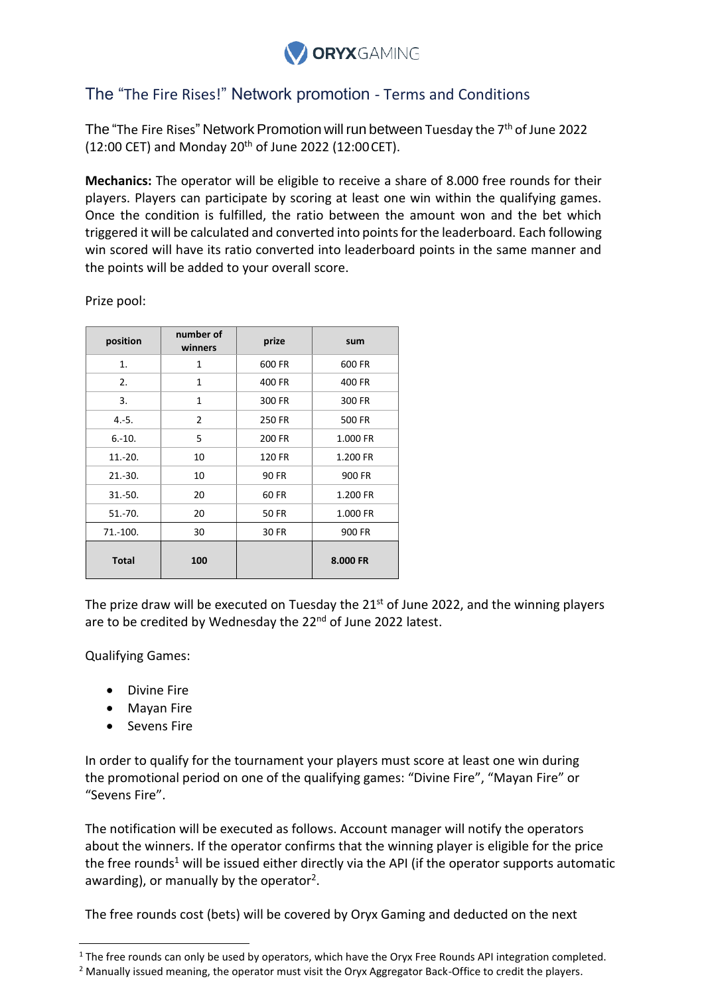

## The "The Fire Rises!" Network promotion - Terms and Conditions

The "The Fire Rises" Network Promotion will run between Tuesday the 7<sup>th</sup> of June 2022 (12:00 CET) and Monday 20<sup>th</sup> of June 2022 (12:00 CET).

**Mechanics:** The operator will be eligible to receive a share of 8.000 free rounds for their players. Players can participate by scoring at least one win within the qualifying games. Once the condition is fulfilled, the ratio between the amount won and the bet which triggered it will be calculated and converted into points for the leaderboard. Each following win scored will have its ratio converted into leaderboard points in the same manner and the points will be added to your overall score.

| position     | number of<br>winners | prize        | sum      |
|--------------|----------------------|--------------|----------|
| 1.           | 1                    | 600 FR       | 600 FR   |
| 2.           | 1                    | 400 FR       | 400 FR   |
| 3.           | $\mathbf{1}$         | 300 FR       | 300 FR   |
| $4.-5.$      | 2                    | 250 FR       | 500 FR   |
| $6.-10.$     | 5                    | 200 FR       | 1.000 FR |
| $11.-20.$    | 10                   | 120 FR       | 1.200 FR |
| $21.-30.$    | 10                   | <b>90 FR</b> | 900 FR   |
| $31.-50.$    | 20                   | 60 FR        | 1.200 FR |
| $51.-70.$    | 20                   | <b>50 FR</b> | 1.000 FR |
| 71.-100.     | 30                   | 30 FR        | 900 FR   |
| <b>Total</b> | 100                  |              | 8.000 FR |

Prize pool:

The prize draw will be executed on Tuesday the 21<sup>st</sup> of June 2022, and the winning players are to be credited by Wednesday the 22<sup>nd</sup> of June 2022 latest.

Qualifying Games:

- Divine Fire
- Mayan Fire
- Sevens Fire

In order to qualify for the tournament your players must score at least one win during the promotional period on one of the qualifying games: "Divine Fire", "Mayan Fire" or "Sevens Fire".

The notification will be executed as follows. Account manager will notify the operators about the winners. If the operator confirms that the winning player is eligible for the price the free rounds<sup>1</sup> will be issued either directly via the API (if the operator supports automatic awarding), or manually by the operator<sup>2</sup>.

The free rounds cost (bets) will be covered by Oryx Gaming and deducted on the next

<sup>&</sup>lt;sup>1</sup> The free rounds can only be used by operators, which have the Oryx Free Rounds API integration completed.

<sup>&</sup>lt;sup>2</sup> Manually issued meaning, the operator must visit the Oryx Aggregator Back-Office to credit the players.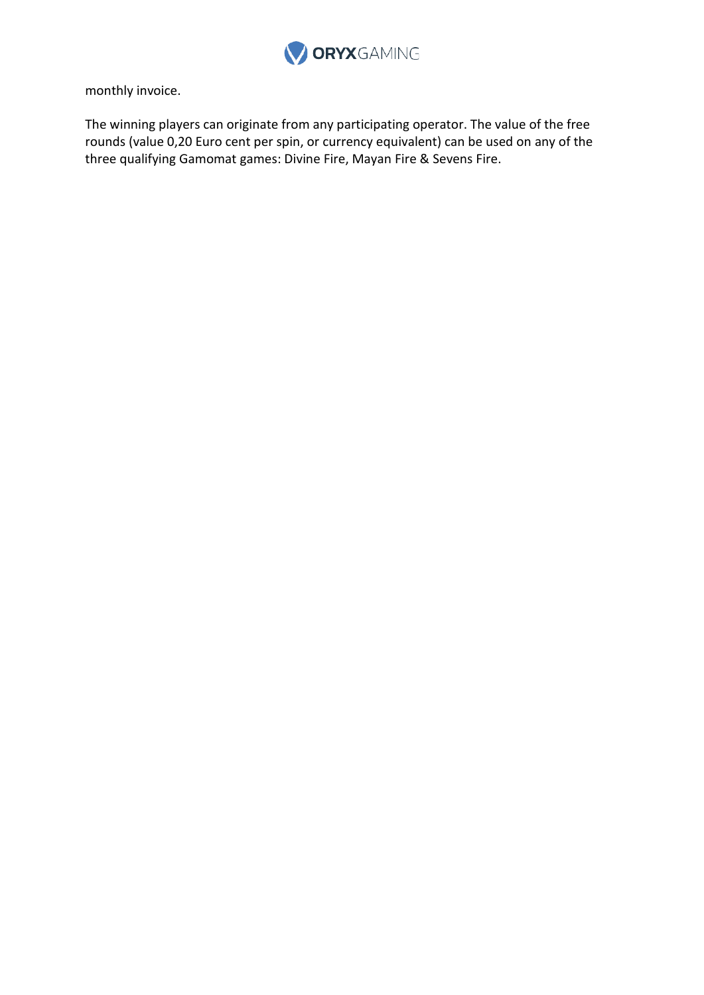

monthly invoice.

The winning players can originate from any participating operator. The value of the free rounds (value 0,20 Euro cent per spin, or currency equivalent) can be used on any of the three qualifying Gamomat games: Divine Fire, Mayan Fire & Sevens Fire.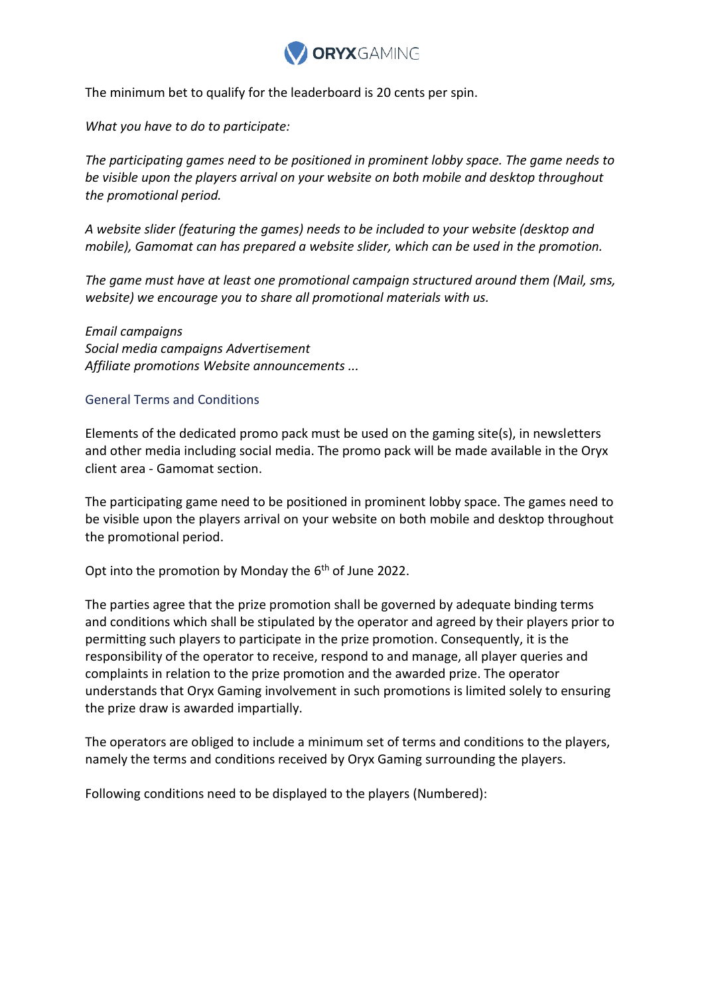

The minimum bet to qualify for the leaderboard is 20 cents per spin.

*What you have to do to participate:*

*The participating games need to be positioned in prominent lobby space. The game needs to be visible upon the players arrival on your website on both mobile and desktop throughout the promotional period.*

*A website slider (featuring the games) needs to be included to your website (desktop and mobile), Gamomat can has prepared a website slider, which can be used in the promotion.*

*The game must have at least one promotional campaign structured around them (Mail, sms, website) we encourage you to share all promotional materials with us.*

*Email campaigns Social media campaigns Advertisement Affiliate promotions Website announcements ...*

## General Terms and Conditions

Elements of the dedicated promo pack must be used on the gaming site(s), in newsletters and other media including social media. The promo pack will be made available in the Oryx client area - Gamomat section.

The participating game need to be positioned in prominent lobby space. The games need to be visible upon the players arrival on your website on both mobile and desktop throughout the promotional period.

Opt into the promotion by Monday the 6<sup>th</sup> of June 2022.

The parties agree that the prize promotion shall be governed by adequate binding terms and conditions which shall be stipulated by the operator and agreed by their players prior to permitting such players to participate in the prize promotion. Consequently, it is the responsibility of the operator to receive, respond to and manage, all player queries and complaints in relation to the prize promotion and the awarded prize. The operator understands that Oryx Gaming involvement in such promotions is limited solely to ensuring the prize draw is awarded impartially.

The operators are obliged to include a minimum set of terms and conditions to the players, namely the terms and conditions received by Oryx Gaming surrounding the players.

Following conditions need to be displayed to the players (Numbered):